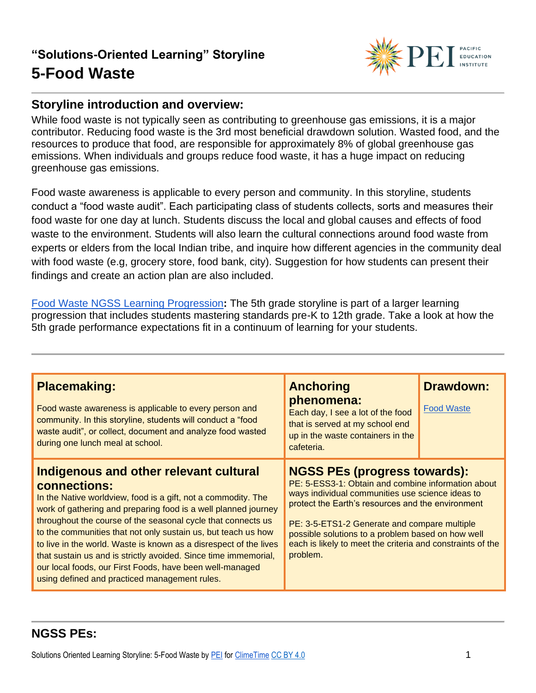

#### **Storyline introduction and overview:**

While food waste is not typically seen as contributing to greenhouse gas emissions, it is a major contributor. Reducing food waste is the 3rd most beneficial drawdown solution. Wasted food, and the resources to produce that food, are responsible for approximately 8% of global greenhouse gas emissions. When individuals and groups reduce food waste, it has a huge impact on reducing greenhouse gas emissions.

Food waste awareness is applicable to every person and community. In this storyline, students conduct a "food waste audit". Each participating class of students collects, sorts and measures their food waste for one day at lunch. Students discuss the local and global causes and effects of food waste to the environment. Students will also learn the cultural connections around food waste from experts or elders from the local Indian tribe, and inquire how different agencies in the community deal with food waste (e.g, grocery store, food bank, city). Suggestion for how students can present their findings and create an action plan are also included.

[Food Waste NGSS Learning Progression](https://pacificeductioninstitute.sharepoint.com/:x:/s/Program/EVbT_LcvK9ZLv6JltsAvbpEBHaNLj_wMBpQe7UriIBFBNg?e=sbwFwg)**:** The 5th grade storyline is part of a larger learning progression that includes students mastering standards pre-K to 12th grade. Take a look at how the 5th grade performance expectations fit in a continuum of learning for your students.

| <b>Placemaking:</b><br>Food waste awareness is applicable to every person and<br>community. In this storyline, students will conduct a "food<br>waste audit", or collect, document and analyze food wasted<br>during one lunch meal at school.                                                                                                                                                                                                                                                                                                                                  | <b>Anchoring</b><br>phenomena:<br>Each day, I see a lot of the food<br>that is served at my school end<br>up in the waste containers in the<br>cafeteria.                                                                                                                                                                                                                         | <b>Drawdown:</b><br><b>Food Waste</b> |
|---------------------------------------------------------------------------------------------------------------------------------------------------------------------------------------------------------------------------------------------------------------------------------------------------------------------------------------------------------------------------------------------------------------------------------------------------------------------------------------------------------------------------------------------------------------------------------|-----------------------------------------------------------------------------------------------------------------------------------------------------------------------------------------------------------------------------------------------------------------------------------------------------------------------------------------------------------------------------------|---------------------------------------|
| Indigenous and other relevant cultural<br>connections:<br>In the Native worldview, food is a gift, not a commodity. The<br>work of gathering and preparing food is a well planned journey<br>throughout the course of the seasonal cycle that connects us<br>to the communities that not only sustain us, but teach us how<br>to live in the world. Waste is known as a disrespect of the lives<br>that sustain us and is strictly avoided. Since time immemorial,<br>our local foods, our First Foods, have been well-managed<br>using defined and practiced management rules. | <b>NGSS PEs (progress towards):</b><br>PE: 5-ESS3-1: Obtain and combine information about<br>ways individual communities use science ideas to<br>protect the Earth's resources and the environment<br>PE: 3-5-ETS1-2 Generate and compare multiple<br>possible solutions to a problem based on how well<br>each is likely to meet the criteria and constraints of the<br>problem. |                                       |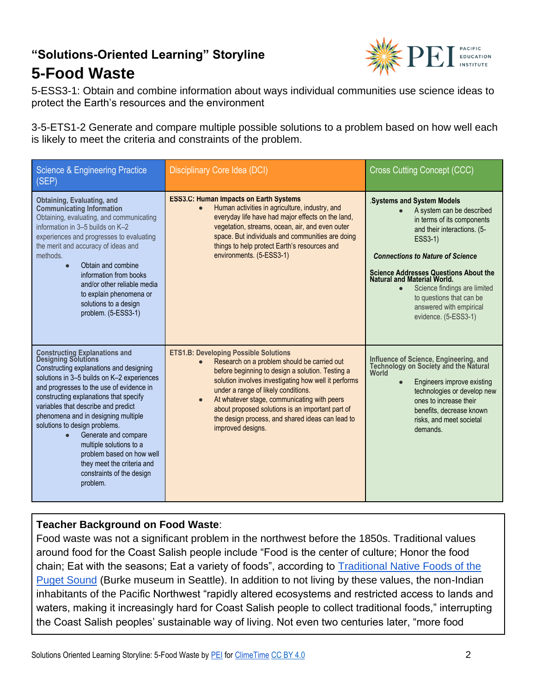

5-ESS3-1: Obtain and combine information about ways individual communities use science ideas to protect the Earth's resources and the environment

3-5-ETS1-2 Generate and compare multiple possible solutions to a problem based on how well each is likely to meet the criteria and constraints of the problem.

| <b>Science &amp; Engineering Practice</b><br>(SEP)                                                                                                                                                                                                                                                                                                                                                                                                                                                                         | Disciplinary Core Idea (DCI)                                                                                                                                                                                                                                                                                                                                                                                               |                                                                                                                                                                                                                                                                                                                                                                                             |
|----------------------------------------------------------------------------------------------------------------------------------------------------------------------------------------------------------------------------------------------------------------------------------------------------------------------------------------------------------------------------------------------------------------------------------------------------------------------------------------------------------------------------|----------------------------------------------------------------------------------------------------------------------------------------------------------------------------------------------------------------------------------------------------------------------------------------------------------------------------------------------------------------------------------------------------------------------------|---------------------------------------------------------------------------------------------------------------------------------------------------------------------------------------------------------------------------------------------------------------------------------------------------------------------------------------------------------------------------------------------|
| Obtaining, Evaluating, and<br><b>Communicating Information</b><br>Obtaining, evaluating, and communicating<br>information in 3-5 builds on K-2<br>experiences and progresses to evaluating<br>the merit and accuracy of ideas and<br>methods.<br>Obtain and combine<br>$\bullet$<br>information from books<br>and/or other reliable media<br>to explain phenomena or<br>solutions to a design<br>problem. (5-ESS3-1)                                                                                                       | <b>ESS3.C: Human Impacts on Earth Systems</b><br>Human activities in agriculture, industry, and<br>everyday life have had major effects on the land,<br>vegetation, streams, ocean, air, and even outer<br>space. But individuals and communities are doing<br>things to help protect Earth's resources and<br>environments. (5-ESS3-1)                                                                                    | <b>Systems and System Models</b><br>A system can be described<br>in terms of its components<br>and their interactions. (5-<br>ESS3-1)<br><b>Connections to Nature of Science</b><br><b>Science Addresses Questions About the</b><br>Natural and Material World.<br>Science findings are limited<br>$\bullet$<br>to questions that can be<br>answered with empirical<br>evidence. (5-ESS3-1) |
| <b>Constructing Explanations and Designing Solutions</b><br>Constructing explanations and designing<br>solutions in 3-5 builds on K-2 experiences<br>and progresses to the use of evidence in<br>constructing explanations that specify<br>variables that describe and predict<br>phenomena and in designing multiple<br>solutions to design problems.<br>Generate and compare<br>$\bullet$<br>multiple solutions to a<br>problem based on how well<br>they meet the criteria and<br>constraints of the design<br>problem. | <b>ETS1.B: Developing Possible Solutions</b><br>Research on a problem should be carried out<br>before beginning to design a solution. Testing a<br>solution involves investigating how well it performs<br>under a range of likely conditions.<br>At whatever stage, communicating with peers<br>about proposed solutions is an important part of<br>the design process, and shared ideas can lead to<br>improved designs. | Influence of Science, Engineering, and<br>Technology on Society and the Natural<br>World<br>Engineers improve existing<br>$\bullet$<br>technologies or develop new<br>ones to increase their<br>benefits, decrease known<br>risks, and meet societal<br>demands.                                                                                                                            |

#### **Teacher Background on Food Waste**:

Food waste was not a significant problem in the northwest before the 1850s. Traditional values around food for the Coast Salish people include "Food is the center of culture; Honor the food chain; Eat with the seasons; Eat a variety of foods", according to Traditional Native Foods of the [Puget Sound](https://www.burkemuseum.org/blog/salish-bounty-traditional-native-foods-puget-sound) (Burke museum in Seattle). In addition to not living by these values, the non-Indian inhabitants of the Pacific Northwest "rapidly altered ecosystems and restricted access to lands and waters, making it increasingly hard for Coast Salish people to collect traditional foods," interrupting the Coast Salish peoples' sustainable way of living. Not even two centuries later, "more food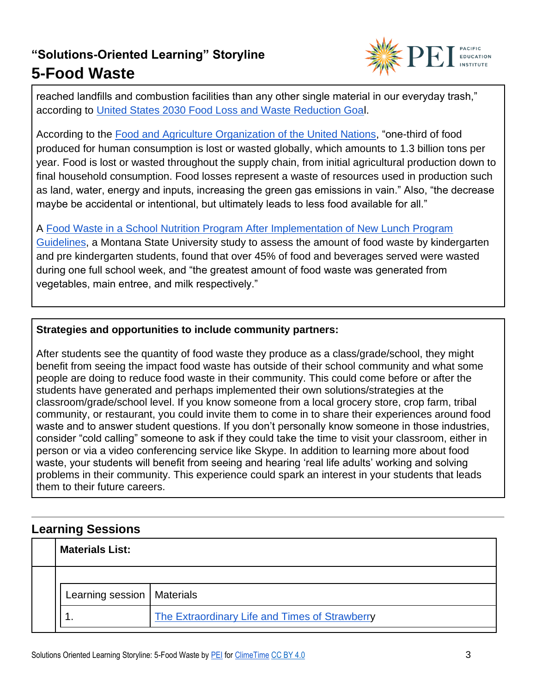

reached landfills and combustion facilities than any other single material in our everyday trash," according to [United States 2030 Food Loss and Waste Reduction Goal](https://www.epa.gov/sustainable-management-food/united-states-2030-food-loss-and-waste-reduction-goal).

According to the [Food and Agriculture Organization of the United Nations,](http://www.fao.org/food-loss-and-food-waste/en/) "one-third of food produced for human consumption is lost or wasted globally, which amounts to 1.3 billion tons per year. Food is lost or wasted throughout the supply chain, from initial agricultural production down to final household consumption. Food losses represent a waste of resources used in production such as land, water, energy and inputs, increasing the green gas emissions in vain." Also, "the decrease maybe be accidental or intentional, but ultimately leads to less food available for all."

A [Food Waste in a School Nutrition Program After Implementation of New Lunch Program](https://scholarworks.montana.edu/xmlui/bitstream/handle/1/9631/BykerShanks_JNEB_2014_A1b.pdf?sequence=1&isAllowed=y) 

[Guidelines,](https://scholarworks.montana.edu/xmlui/bitstream/handle/1/9631/BykerShanks_JNEB_2014_A1b.pdf?sequence=1&isAllowed=y) a Montana State University study to assess the amount of food waste by kindergarten and pre kindergarten students, found that over 45% of food and beverages served were wasted during one full school week, and "the greatest amount of food waste was generated from vegetables, main entree, and milk respectively."

#### **Strategies and opportunities to include community partners:**

After students see the quantity of food waste they produce as a class/grade/school, they might benefit from seeing the impact food waste has outside of their school community and what some people are doing to reduce food waste in their community. This could come before or after the students have generated and perhaps implemented their own solutions/strategies at the classroom/grade/school level. If you know someone from a local grocery store, crop farm, tribal community, or restaurant, you could invite them to come in to share their experiences around food waste and to answer student questions. If you don't personally know someone in those industries, consider "cold calling" someone to ask if they could take the time to visit your classroom, either in person or via a video conferencing service like Skype. In addition to learning more about food waste, your students will benefit from seeing and hearing 'real life adults' working and solving problems in their community. This experience could spark an interest in your students that leads them to their future careers.

#### **Learning Sessions**

| <b>Materials List:</b>       |                                                |
|------------------------------|------------------------------------------------|
|                              |                                                |
| Learning session   Materials |                                                |
|                              | The Extraordinary Life and Times of Strawberry |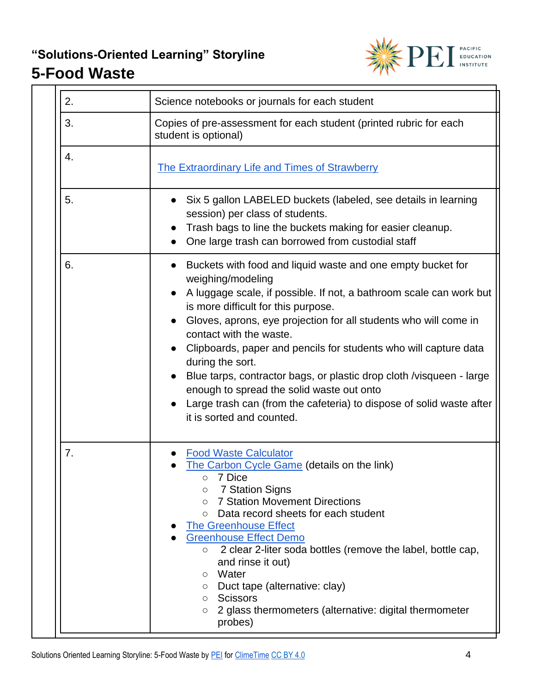

| 2.                                                                                               | Science notebooks or journals for each student                                                                                                                                                                                                                                                                                                                                                                                                                                                                                                                                                                               |  |  |
|--------------------------------------------------------------------------------------------------|------------------------------------------------------------------------------------------------------------------------------------------------------------------------------------------------------------------------------------------------------------------------------------------------------------------------------------------------------------------------------------------------------------------------------------------------------------------------------------------------------------------------------------------------------------------------------------------------------------------------------|--|--|
| 3.<br>Copies of pre-assessment for each student (printed rubric for each<br>student is optional) |                                                                                                                                                                                                                                                                                                                                                                                                                                                                                                                                                                                                                              |  |  |
| 4.                                                                                               | <b>The Extraordinary Life and Times of Strawberry</b>                                                                                                                                                                                                                                                                                                                                                                                                                                                                                                                                                                        |  |  |
| 5.                                                                                               | Six 5 gallon LABELED buckets (labeled, see details in learning<br>session) per class of students.<br>Trash bags to line the buckets making for easier cleanup.<br>One large trash can borrowed from custodial staff                                                                                                                                                                                                                                                                                                                                                                                                          |  |  |
| 6.                                                                                               | Buckets with food and liquid waste and one empty bucket for<br>$\bullet$<br>weighing/modeling<br>A luggage scale, if possible. If not, a bathroom scale can work but<br>is more difficult for this purpose.<br>Gloves, aprons, eye projection for all students who will come in<br>contact with the waste.<br>Clipboards, paper and pencils for students who will capture data<br>during the sort.<br>Blue tarps, contractor bags, or plastic drop cloth /visqueen - large<br>enough to spread the solid waste out onto<br>Large trash can (from the cafeteria) to dispose of solid waste after<br>it is sorted and counted. |  |  |
| 7.                                                                                               | <b>Food Waste Calculator</b><br>The Carbon Cycle Game (details on the link)<br>7 Dice<br><b>7 Station Signs</b><br>$\circ$<br><b>7 Station Movement Directions</b><br>$\circ$<br>Data record sheets for each student<br>$\circ$<br><b>The Greenhouse Effect</b><br><b>Greenhouse Effect Demo</b><br>2 clear 2-liter soda bottles (remove the label, bottle cap,<br>$\circ$<br>and rinse it out)<br>Water<br>$\circ$<br>Duct tape (alternative: clay)<br>O<br>Scissors<br>$\circ$<br>2 glass thermometers (alternative: digital thermometer<br>$\circ$<br>probes)                                                             |  |  |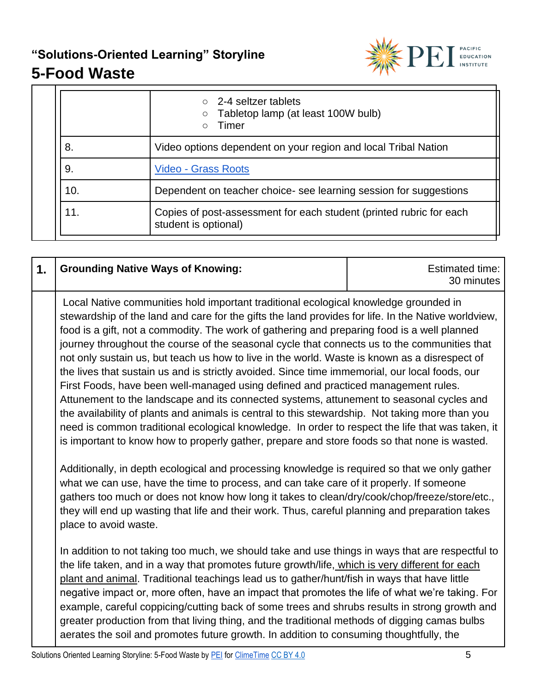

## **5-Food Waste**

|     | $\circ$ 2-4 seltzer tablets<br>Tabletop lamp (at least 100W bulb)<br>$\circ$<br>Timer<br>$\bigcirc$ |  |
|-----|-----------------------------------------------------------------------------------------------------|--|
| 8.  | Video options dependent on your region and local Tribal Nation                                      |  |
| 9.  | <b>Video - Grass Roots</b>                                                                          |  |
| 10. | Dependent on teacher choice- see learning session for suggestions                                   |  |
| 11. | Copies of post-assessment for each student (printed rubric for each<br>student is optional)         |  |

| 1. | <b>Grounding Native Ways of Knowing:</b>                                                                                                                                                                                                                                                                                                                                                                                                                                                                                                                                                                                                                                                                                                                                                                                                                                                                                                                                                                                                                                                                                                                                                                                                                                                                                                                                                                                                                                                                       | <b>Estimated time:</b><br>30 minutes |
|----|----------------------------------------------------------------------------------------------------------------------------------------------------------------------------------------------------------------------------------------------------------------------------------------------------------------------------------------------------------------------------------------------------------------------------------------------------------------------------------------------------------------------------------------------------------------------------------------------------------------------------------------------------------------------------------------------------------------------------------------------------------------------------------------------------------------------------------------------------------------------------------------------------------------------------------------------------------------------------------------------------------------------------------------------------------------------------------------------------------------------------------------------------------------------------------------------------------------------------------------------------------------------------------------------------------------------------------------------------------------------------------------------------------------------------------------------------------------------------------------------------------------|--------------------------------------|
|    | Local Native communities hold important traditional ecological knowledge grounded in<br>stewardship of the land and care for the gifts the land provides for life. In the Native worldview,<br>food is a gift, not a commodity. The work of gathering and preparing food is a well planned<br>journey throughout the course of the seasonal cycle that connects us to the communities that<br>not only sustain us, but teach us how to live in the world. Waste is known as a disrespect of<br>the lives that sustain us and is strictly avoided. Since time immemorial, our local foods, our<br>First Foods, have been well-managed using defined and practiced management rules.<br>Attunement to the landscape and its connected systems, attunement to seasonal cycles and<br>the availability of plants and animals is central to this stewardship. Not taking more than you<br>need is common traditional ecological knowledge. In order to respect the life that was taken, it<br>is important to know how to properly gather, prepare and store foods so that none is wasted.<br>Additionally, in depth ecological and processing knowledge is required so that we only gather<br>what we can use, have the time to process, and can take care of it properly. If someone<br>gathers too much or does not know how long it takes to clean/dry/cook/chop/freeze/store/etc.,<br>they will end up wasting that life and their work. Thus, careful planning and preparation takes<br>place to avoid waste. |                                      |
|    | In addition to not taking too much, we should take and use things in ways that are respectful to<br>the life taken, and in a way that promotes future growth/life, which is very different for each<br>plant and animal. Traditional teachings lead us to gather/hunt/fish in ways that have little<br>negative impact or, more often, have an impact that promotes the life of what we're taking. For<br>example, careful coppicing/cutting back of some trees and shrubs results in strong growth and<br>greater production from that living thing, and the traditional methods of digging camas bulbs<br>aerates the soil and promotes future growth. In addition to consuming thoughtfully, the                                                                                                                                                                                                                                                                                                                                                                                                                                                                                                                                                                                                                                                                                                                                                                                                            |                                      |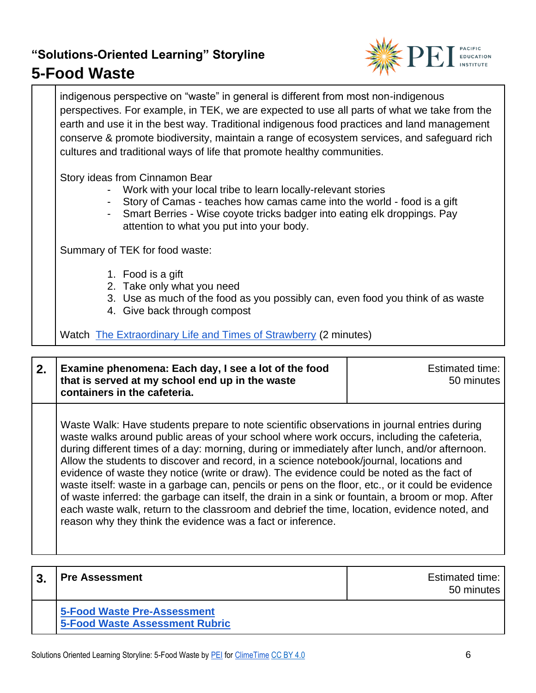### **5-Food Waste**



indigenous perspective on "waste" in general is different from most non-indigenous perspectives. For example, in TEK, we are expected to use all parts of what we take from the earth and use it in the best way. Traditional indigenous food practices and land management conserve & promote biodiversity, maintain a range of ecosystem services, and safeguard rich cultures and traditional ways of life that promote healthy communities.

Story ideas from Cinnamon Bear

- Work with your local tribe to learn locally-relevant stories
- Story of Camas teaches how camas came into the world food is a gift
- Smart Berries Wise coyote tricks badger into eating elk droppings. Pay attention to what you put into your body.

Summary of TEK for food waste:

- 1. Food is a gift
- 2. Take only what you need
- 3. Use as much of the food as you possibly can, even food you think of as waste
- 4. Give back through compost

Watch [The Extraordinary Life and Times of Strawberry](https://vimeo.com/175920034) (2 minutes)

| 2. Examine phenomena: Each day, I see a lot of the food<br>that is served at my school end up in the waste | Estimated time:<br>50 minutes |
|------------------------------------------------------------------------------------------------------------|-------------------------------|
| containers in the cafeteria.                                                                               |                               |

Waste Walk: Have students prepare to note scientific observations in journal entries during waste walks around public areas of your school where work occurs, including the cafeteria, during different times of a day: morning, during or immediately after lunch, and/or afternoon. Allow the students to discover and record, in a science notebook/journal, locations and evidence of waste they notice (write or draw). The evidence could be noted as the fact of waste itself: waste in a garbage can, pencils or pens on the floor, etc., or it could be evidence of waste inferred: the garbage can itself, the drain in a sink or fountain, a broom or mop. After each waste walk, return to the classroom and debrief the time, location, evidence noted, and reason why they think the evidence was a fact or inference.

| <b>Pre Assessment</b>                                                | <b>Estimated time:</b><br>50 minutes |
|----------------------------------------------------------------------|--------------------------------------|
| 5-Food Waste Pre-Assessment<br><b>5-Food Waste Assessment Rubric</b> |                                      |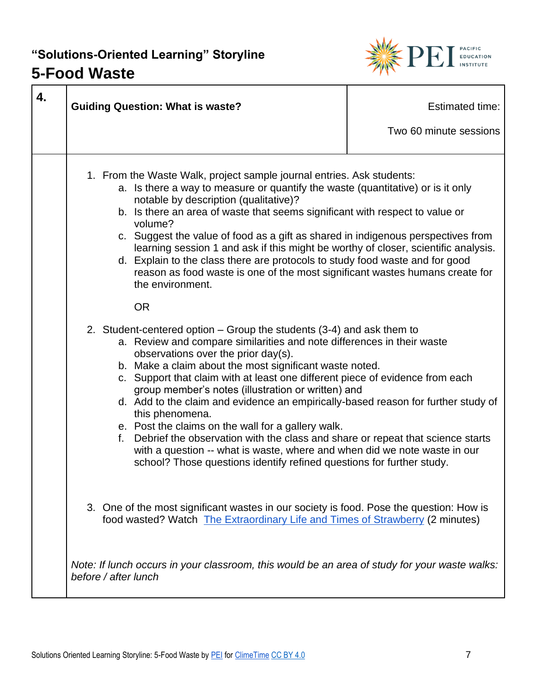## **5-Food Waste**



| 4. | <b>Guiding Question: What is waste?</b>                                                                                                                                                                                                                                                                                                                                                                                                                                                                                                                                                                                                                                                                                                                                                              | <b>Estimated time:</b><br>Two 60 minute sessions |
|----|------------------------------------------------------------------------------------------------------------------------------------------------------------------------------------------------------------------------------------------------------------------------------------------------------------------------------------------------------------------------------------------------------------------------------------------------------------------------------------------------------------------------------------------------------------------------------------------------------------------------------------------------------------------------------------------------------------------------------------------------------------------------------------------------------|--------------------------------------------------|
|    | 1. From the Waste Walk, project sample journal entries. Ask students:<br>a. Is there a way to measure or quantify the waste (quantitative) or is it only<br>notable by description (qualitative)?<br>b. Is there an area of waste that seems significant with respect to value or<br>volume?<br>c. Suggest the value of food as a gift as shared in indigenous perspectives from<br>learning session 1 and ask if this might be worthy of closer, scientific analysis.<br>d. Explain to the class there are protocols to study food waste and for good<br>reason as food waste is one of the most significant wastes humans create for<br>the environment.<br><b>OR</b>                                                                                                                              |                                                  |
|    | 2. Student-centered option – Group the students (3-4) and ask them to<br>a. Review and compare similarities and note differences in their waste<br>observations over the prior day(s).<br>b. Make a claim about the most significant waste noted.<br>c. Support that claim with at least one different piece of evidence from each<br>group member's notes (illustration or written) and<br>d. Add to the claim and evidence an empirically-based reason for further study of<br>this phenomena.<br>e. Post the claims on the wall for a gallery walk.<br>Debrief the observation with the class and share or repeat that science starts<br>f.<br>with a question -- what is waste, where and when did we note waste in our<br>school? Those questions identify refined questions for further study. |                                                  |
|    | 3. One of the most significant wastes in our society is food. Pose the question: How is<br>food wasted? Watch The Extraordinary Life and Times of Strawberry (2 minutes)                                                                                                                                                                                                                                                                                                                                                                                                                                                                                                                                                                                                                             |                                                  |
|    | Note: If lunch occurs in your classroom, this would be an area of study for your waste walks:<br>before / after lunch                                                                                                                                                                                                                                                                                                                                                                                                                                                                                                                                                                                                                                                                                |                                                  |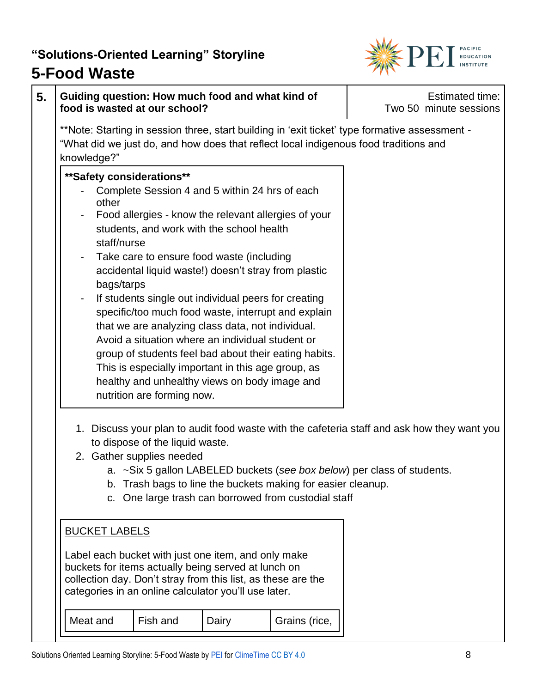

### **5-Food Waste**

| 5. | Guiding question: How much food and what kind of<br>food is wasted at our school?                                                                                                                                                                                                                                                                                                                                                                                                                                                                                                                                                                                                                                                                  |                                                                                                                                                                                           |               | Estimated time:<br>Two 50 minute sessions |
|----|----------------------------------------------------------------------------------------------------------------------------------------------------------------------------------------------------------------------------------------------------------------------------------------------------------------------------------------------------------------------------------------------------------------------------------------------------------------------------------------------------------------------------------------------------------------------------------------------------------------------------------------------------------------------------------------------------------------------------------------------------|-------------------------------------------------------------------------------------------------------------------------------------------------------------------------------------------|---------------|-------------------------------------------|
|    | **Note: Starting in session three, start building in 'exit ticket' type formative assessment -<br>"What did we just do, and how does that reflect local indigenous food traditions and<br>knowledge?"                                                                                                                                                                                                                                                                                                                                                                                                                                                                                                                                              |                                                                                                                                                                                           |               |                                           |
|    | ** Safety considerations**<br>Complete Session 4 and 5 within 24 hrs of each<br>other<br>Food allergies - know the relevant allergies of your<br>students, and work with the school health<br>staff/nurse<br>Take care to ensure food waste (including<br>accidental liquid waste!) doesn't stray from plastic<br>bags/tarps<br>If students single out individual peers for creating<br>specific/too much food waste, interrupt and explain<br>that we are analyzing class data, not individual.<br>Avoid a situation where an individual student or<br>group of students feel bad about their eating habits.<br>This is especially important in this age group, as<br>healthy and unhealthy views on body image and<br>nutrition are forming now. |                                                                                                                                                                                           |               |                                           |
|    | 1. Discuss your plan to audit food waste with the cafeteria staff and ask how they want you<br>to dispose of the liquid waste.<br>2. Gather supplies needed<br>b.<br>C.<br><b>BUCKET LABELS</b><br>Label each bucket with just one item, and only make<br>buckets for items actually being served at lunch on<br>collection day. Don't stray from this list, as these are the<br>categories in an online calculator you'll use later.                                                                                                                                                                                                                                                                                                              | a. ~Six 5 gallon LABELED buckets (see box below) per class of students.<br>Trash bags to line the buckets making for easier cleanup.<br>One large trash can borrowed from custodial staff |               |                                           |
|    | Meat and<br>Fish and                                                                                                                                                                                                                                                                                                                                                                                                                                                                                                                                                                                                                                                                                                                               | Dairy                                                                                                                                                                                     | Grains (rice, |                                           |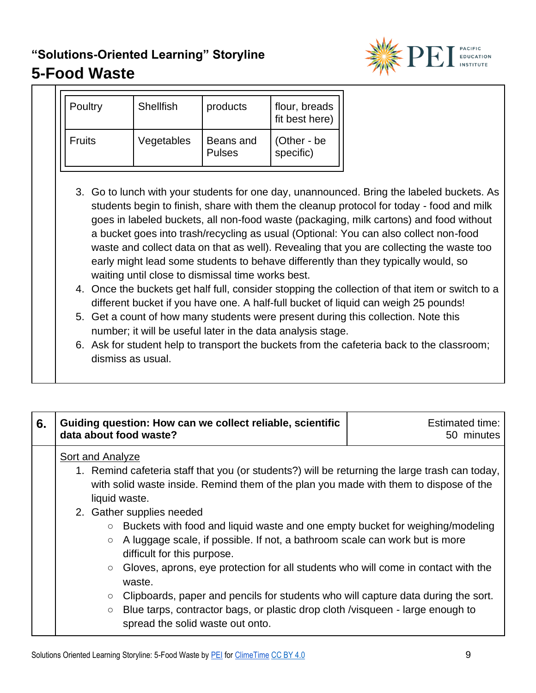

| Poultry | <b>Shellfish</b> | products                   | flour, breads<br>fit best here) |
|---------|------------------|----------------------------|---------------------------------|
| Fruits  | Vegetables       | Beans and<br><b>Pulses</b> | (Other - be<br>specific)        |

- 3. Go to lunch with your students for one day, unannounced. Bring the labeled buckets. As students begin to finish, share with them the cleanup protocol for today - food and milk goes in labeled buckets, all non-food waste (packaging, milk cartons) and food without a bucket goes into trash/recycling as usual (Optional: You can also collect non-food waste and collect data on that as well). Revealing that you are collecting the waste too early might lead some students to behave differently than they typically would, so waiting until close to dismissal time works best.
- 4. Once the buckets get half full, consider stopping the collection of that item or switch to a different bucket if you have one. A half-full bucket of liquid can weigh 25 pounds!
- 5. Get a count of how many students were present during this collection. Note this number; it will be useful later in the data analysis stage.
- 6. Ask for student help to transport the buckets from the cafeteria back to the classroom; dismiss as usual.

| 6. | Guiding question: How can we collect reliable, scientific<br>data about food waste?                                                                                                                                                                                                                                                                                                                                                                                                                                                                                                                                                                                                                                                                                                                                       | <b>Estimated time:</b><br>50 minutes |
|----|---------------------------------------------------------------------------------------------------------------------------------------------------------------------------------------------------------------------------------------------------------------------------------------------------------------------------------------------------------------------------------------------------------------------------------------------------------------------------------------------------------------------------------------------------------------------------------------------------------------------------------------------------------------------------------------------------------------------------------------------------------------------------------------------------------------------------|--------------------------------------|
|    | Sort and Analyze<br>1. Remind cafeteria staff that you (or students?) will be returning the large trash can today,<br>with solid waste inside. Remind them of the plan you made with them to dispose of the<br>liquid waste.<br>2. Gather supplies needed<br>Buckets with food and liquid waste and one empty bucket for weighing/modeling<br>$\circ$<br>A luggage scale, if possible. If not, a bathroom scale can work but is more<br>$\circ$<br>difficult for this purpose.<br>Gloves, aprons, eye protection for all students who will come in contact with the<br>$\circ$<br>waste.<br>Clipboards, paper and pencils for students who will capture data during the sort.<br>$\circ$<br>Blue tarps, contractor bags, or plastic drop cloth /visqueen - large enough to<br>$\circ$<br>spread the solid waste out onto. |                                      |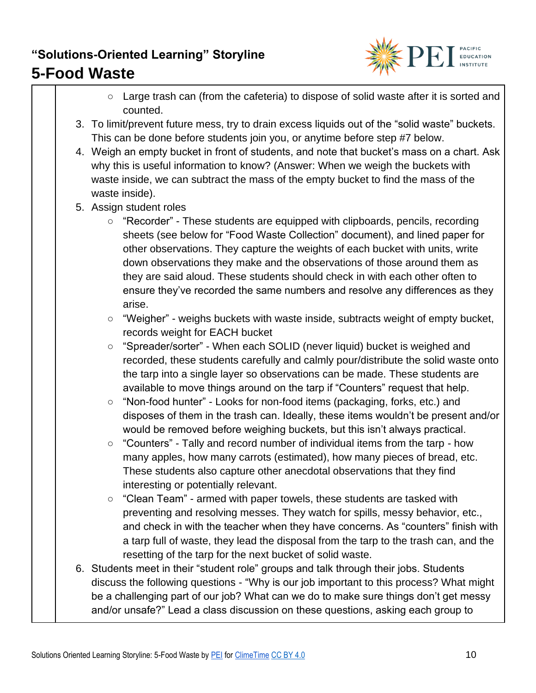

- Large trash can (from the cafeteria) to dispose of solid waste after it is sorted and counted.
- 3. To limit/prevent future mess, try to drain excess liquids out of the "solid waste" buckets. This can be done before students join you, or anytime before step #7 below.
- 4. Weigh an empty bucket in front of students, and note that bucket's mass on a chart. Ask why this is useful information to know? (Answer: When we weigh the buckets with waste inside, we can subtract the mass of the empty bucket to find the mass of the waste inside).
- 5. Assign student roles
	- "Recorder" These students are equipped with clipboards, pencils, recording sheets (see below for "Food Waste Collection" document), and lined paper for other observations. They capture the weights of each bucket with units, write down observations they make and the observations of those around them as they are said aloud. These students should check in with each other often to ensure they've recorded the same numbers and resolve any differences as they arise.
	- "Weigher" weighs buckets with waste inside, subtracts weight of empty bucket, records weight for EACH bucket
	- "Spreader/sorter" When each SOLID (never liquid) bucket is weighed and recorded, these students carefully and calmly pour/distribute the solid waste onto the tarp into a single layer so observations can be made. These students are available to move things around on the tarp if "Counters" request that help.
	- "Non-food hunter" Looks for non-food items (packaging, forks, etc.) and disposes of them in the trash can. Ideally, these items wouldn't be present and/or would be removed before weighing buckets, but this isn't always practical.
	- "Counters" Tally and record number of individual items from the tarp how many apples, how many carrots (estimated), how many pieces of bread, etc. These students also capture other anecdotal observations that they find interesting or potentially relevant.
	- "Clean Team" armed with paper towels, these students are tasked with preventing and resolving messes. They watch for spills, messy behavior, etc., and check in with the teacher when they have concerns. As "counters" finish with a tarp full of waste, they lead the disposal from the tarp to the trash can, and the resetting of the tarp for the next bucket of solid waste.
- 6. Students meet in their "student role" groups and talk through their jobs. Students discuss the following questions - "Why is our job important to this process? What might be a challenging part of our job? What can we do to make sure things don't get messy and/or unsafe?" Lead a class discussion on these questions, asking each group to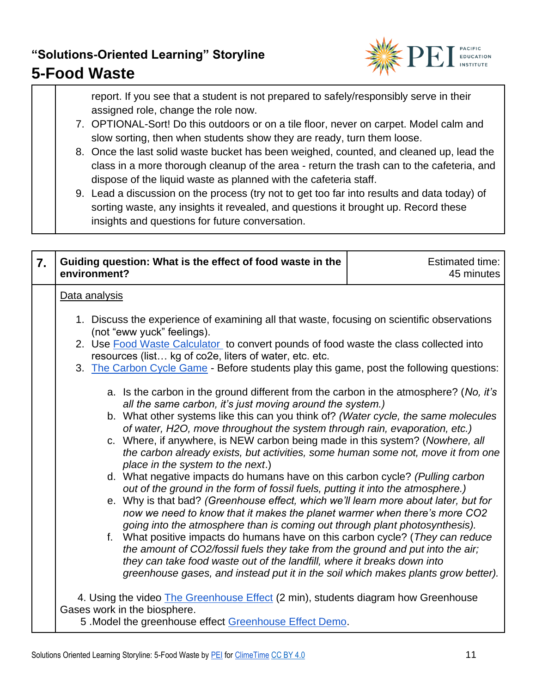### **5-Food Waste**



report. If you see that a student is not prepared to safely/responsibly serve in their assigned role, change the role now.

- 7. OPTIONAL-Sort! Do this outdoors or on a tile floor, never on carpet. Model calm and slow sorting, then when students show they are ready, turn them loose.
- 8. Once the last solid waste bucket has been weighed, counted, and cleaned up, lead the class in a more thorough cleanup of the area - return the trash can to the cafeteria, and dispose of the liquid waste as planned with the cafeteria staff.
- 9. Lead a discussion on the process (try not to get too far into results and data today) of sorting waste, any insights it revealed, and questions it brought up. Record these insights and questions for future conversation.

| $\overline{7}$ . | Guiding question: What is the effect of food waste in the<br>environment?                                                                                                                                                                                                                                                                                                                                                                                                                                                                                                                                                                                                                                                                                                                                                                                                                                                                                                                                                                                                                                                                                                                                                                                                                                                                                                                                                                                                                                                                                                                          | <b>Estimated time:</b><br>45 minutes |  |  |  |  |  |
|------------------|----------------------------------------------------------------------------------------------------------------------------------------------------------------------------------------------------------------------------------------------------------------------------------------------------------------------------------------------------------------------------------------------------------------------------------------------------------------------------------------------------------------------------------------------------------------------------------------------------------------------------------------------------------------------------------------------------------------------------------------------------------------------------------------------------------------------------------------------------------------------------------------------------------------------------------------------------------------------------------------------------------------------------------------------------------------------------------------------------------------------------------------------------------------------------------------------------------------------------------------------------------------------------------------------------------------------------------------------------------------------------------------------------------------------------------------------------------------------------------------------------------------------------------------------------------------------------------------------------|--------------------------------------|--|--|--|--|--|
|                  | Data analysis<br>1. Discuss the experience of examining all that waste, focusing on scientific observations<br>(not "eww yuck" feelings).<br>2. Use Food Waste Calculator to convert pounds of food waste the class collected into<br>resources (list kg of co2e, liters of water, etc. etc.<br>3. The Carbon Cycle Game - Before students play this game, post the following questions:<br>a. Is the carbon in the ground different from the carbon in the atmosphere? (No, it's<br>all the same carbon, it's just moving around the system.)<br>b. What other systems like this can you think of? (Water cycle, the same molecules<br>of water, H2O, move throughout the system through rain, evaporation, etc.)<br>c. Where, if anywhere, is NEW carbon being made in this system? (Nowhere, all<br>the carbon already exists, but activities, some human some not, move it from one<br>place in the system to the next.)<br>d. What negative impacts do humans have on this carbon cycle? (Pulling carbon<br>out of the ground in the form of fossil fuels, putting it into the atmosphere.)<br>e. Why is that bad? (Greenhouse effect, which we'll learn more about later, but for<br>now we need to know that it makes the planet warmer when there's more CO2<br>going into the atmosphere than is coming out through plant photosynthesis).<br>f. What positive impacts do humans have on this carbon cycle? (They can reduce<br>the amount of CO2/fossil fuels they take from the ground and put into the air;<br>they can take food waste out of the landfill, where it breaks down into |                                      |  |  |  |  |  |
|                  | greenhouse gases, and instead put it in the soil which makes plants grow better).<br>4. Using the video <b>The Greenhouse Effect</b> (2 min), students diagram how Greenhouse<br>Gases work in the biosphere.<br>5 .Model the greenhouse effect Greenhouse Effect Demo.                                                                                                                                                                                                                                                                                                                                                                                                                                                                                                                                                                                                                                                                                                                                                                                                                                                                                                                                                                                                                                                                                                                                                                                                                                                                                                                            |                                      |  |  |  |  |  |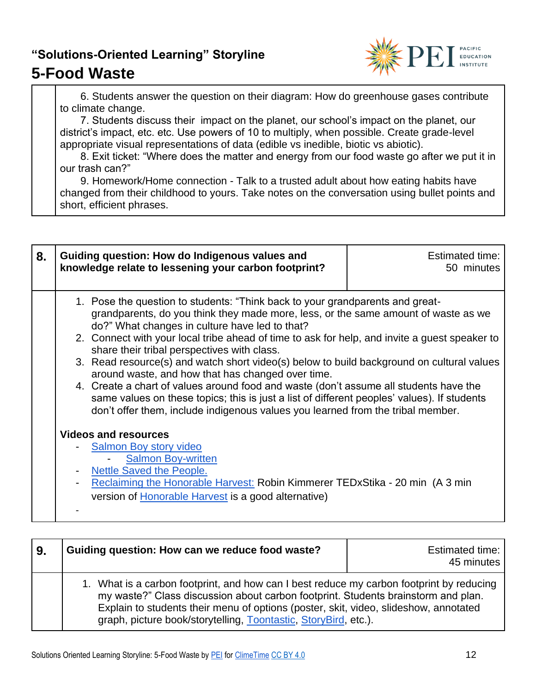### **5-Food Waste**



 6. Students answer the question on their diagram: How do greenhouse gases contribute to climate change.

 7. Students discuss their impact on the planet, our school's impact on the planet, our district's impact, etc. etc. Use powers of 10 to multiply, when possible. Create grade-level appropriate visual representations of data (edible vs inedible, biotic vs abiotic).

 8. Exit ticket: "Where does the matter and energy from our food waste go after we put it in our trash can?"

 9. Homework/Home connection - Talk to a trusted adult about how eating habits have changed from their childhood to yours. Take notes on the conversation using bullet points and short, efficient phrases.

| 8. | Guiding question: How do Indigenous values and<br>knowledge relate to lessening your carbon footprint?                                                                                                                                                                                                                                                                                                                                                                                                                                                                                                                                                                                                                                                                                                                                                                                                                                                                                                                                                              | Estimated time:<br>50 minutes |
|----|---------------------------------------------------------------------------------------------------------------------------------------------------------------------------------------------------------------------------------------------------------------------------------------------------------------------------------------------------------------------------------------------------------------------------------------------------------------------------------------------------------------------------------------------------------------------------------------------------------------------------------------------------------------------------------------------------------------------------------------------------------------------------------------------------------------------------------------------------------------------------------------------------------------------------------------------------------------------------------------------------------------------------------------------------------------------|-------------------------------|
|    | 1. Pose the question to students: "Think back to your grandparents and great-<br>grandparents, do you think they made more, less, or the same amount of waste as we<br>do?" What changes in culture have led to that?<br>2. Connect with your local tribe ahead of time to ask for help, and invite a guest speaker to<br>share their tribal perspectives with class.<br>3. Read resource(s) and watch short video(s) below to build background on cultural values<br>around waste, and how that has changed over time.<br>4. Create a chart of values around food and waste (don't assume all students have the<br>same values on these topics; this is just a list of different peoples' values). If students<br>don't offer them, include indigenous values you learned from the tribal member.<br><b>Videos and resources</b><br><b>Salmon Boy story video</b><br><b>Salmon Boy-written</b><br>Nettle Saved the People.<br>Reclaiming the Honorable Harvest: Robin Kimmerer TEDxStika - 20 min (A 3 min)<br>version of Honorable Harvest is a good alternative) |                               |

| l 9. | Guiding question: How can we reduce food waste?                                                                                                                                                                                                                                                                                          | Estimated time:<br>45 minutes |
|------|------------------------------------------------------------------------------------------------------------------------------------------------------------------------------------------------------------------------------------------------------------------------------------------------------------------------------------------|-------------------------------|
|      | 1. What is a carbon footprint, and how can I best reduce my carbon footprint by reducing<br>my waste?" Class discussion about carbon footprint. Students brainstorm and plan.<br>Explain to students their menu of options (poster, skit, video, slideshow, annotated<br>graph, picture book/storytelling, Toontastic, StoryBird, etc.). |                               |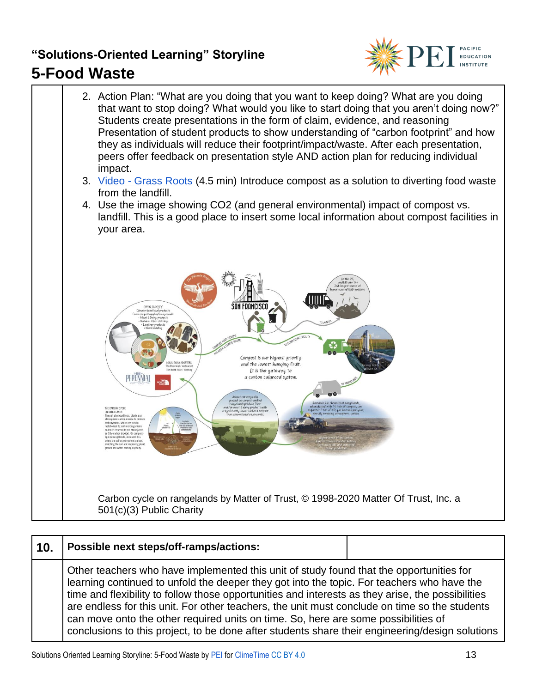

2. Action Plan: "What are you doing that you want to keep doing? What are you doing that want to stop doing? What would you like to start doing that you aren't doing now?" Students create presentations in the form of claim, evidence, and reasoning Presentation of student products to show understanding of "carbon footprint" and how they as individuals will reduce their footprint/impact/waste. After each presentation, peers offer feedback on presentation style AND action plan for reducing individual impact. 3. Video - [Grass Roots](https://matteroftrust.org/global-compost-home/) (4.5 min) Introduce compost as a solution to diverting food waste from the landfill. 4. Use the image showing CO2 (and general environmental) impact of compost vs. landfill. This is a good place to insert some local information about compost facilities in your area. Ш Compost is our highest priority and the lowest hanging fruit. It is the gateway to a carbon balancod systom. Carbon cycle on rangelands by Matter of Trust, © 1998-2020 Matter Of Trust, Inc. a 501(c)(3) Public Charity

| 10. | Possible next steps/off-ramps/actions:                                                                                                                                                                                                                                                                                                                                                                                                                                                                                                                                               |  |
|-----|--------------------------------------------------------------------------------------------------------------------------------------------------------------------------------------------------------------------------------------------------------------------------------------------------------------------------------------------------------------------------------------------------------------------------------------------------------------------------------------------------------------------------------------------------------------------------------------|--|
|     | Other teachers who have implemented this unit of study found that the opportunities for<br>learning continued to unfold the deeper they got into the topic. For teachers who have the<br>time and flexibility to follow those opportunities and interests as they arise, the possibilities<br>are endless for this unit. For other teachers, the unit must conclude on time so the students<br>can move onto the other required units on time. So, here are some possibilities of<br>conclusions to this project, to be done after students share their engineering/design solutions |  |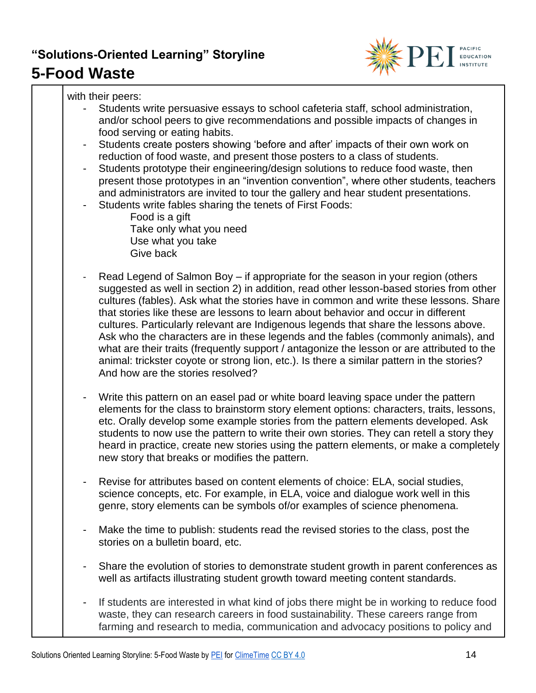

with their peers:

- Students write persuasive essays to school cafeteria staff, school administration, and/or school peers to give recommendations and possible impacts of changes in food serving or eating habits.
- Students create posters showing 'before and after' impacts of their own work on reduction of food waste, and present those posters to a class of students.
- Students prototype their engineering/design solutions to reduce food waste, then present those prototypes in an "invention convention", where other students, teachers and administrators are invited to tour the gallery and hear student presentations.
- Students write fables sharing the tenets of First Foods:

Food is a gift Take only what you need Use what you take Give back

- Read Legend of Salmon Boy if appropriate for the season in your region (others suggested as well in section 2) in addition, read other lesson-based stories from other cultures (fables). Ask what the stories have in common and write these lessons. Share that stories like these are lessons to learn about behavior and occur in different cultures. Particularly relevant are Indigenous legends that share the lessons above. Ask who the characters are in these legends and the fables (commonly animals), and what are their traits (frequently support / antagonize the lesson or are attributed to the animal: trickster coyote or strong lion, etc.). Is there a similar pattern in the stories? And how are the stories resolved?
- Write this pattern on an easel pad or white board leaving space under the pattern elements for the class to brainstorm story element options: characters, traits, lessons, etc. Orally develop some example stories from the pattern elements developed. Ask students to now use the pattern to write their own stories. They can retell a story they heard in practice, create new stories using the pattern elements, or make a completely new story that breaks or modifies the pattern.
- Revise for attributes based on content elements of choice: ELA, social studies, science concepts, etc. For example, in ELA, voice and dialogue work well in this genre, story elements can be symbols of/or examples of science phenomena.
- Make the time to publish: students read the revised stories to the class, post the stories on a bulletin board, etc.
- Share the evolution of stories to demonstrate student growth in parent conferences as well as artifacts illustrating student growth toward meeting content standards.
- If students are interested in what kind of jobs there might be in working to reduce food waste, they can research careers in food sustainability. These careers range from farming and research to media, communication and advocacy positions to policy and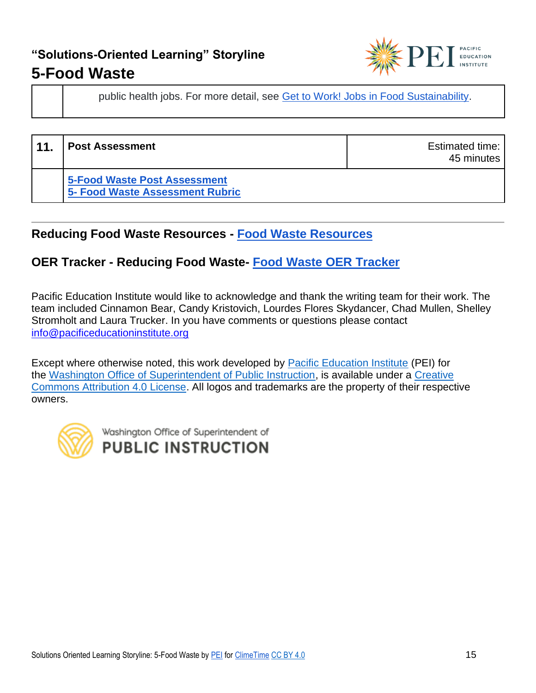

45 minutes

public health jobs. For more detail, see [Get to Work! Jobs in Food Sustainability.](https://foodprint.org/blog/get-to-work-jobs-in-food-sustainability/)

**11. Post Assessment Estimated time: Post Assessment [5-Food Waste Post Assessment](https://pacificeductioninstitute.sharepoint.com/:w:/s/Program/ERKw9GmRa3hNsyIXejqwMekBCm8bn3qdwWzPWjcNBLX_sg?e=VrD3LF) 5- [Food Waste Assessment Rubric](https://pacificeductioninstitute.sharepoint.com/:w:/s/Program/EYtx4-6WJjdOm79u-E7EiG4BD4COBDCiqhvjQuNr3s00hw?e=dHPfmm)**

#### **Reducing Food Waste Resources - [Food Waste Resources](https://pacificeductioninstitute.sharepoint.com/:x:/s/Program/ESNUjBgtKptGtuajbu_pU5EBFyKWz3R8h2t95JpjHdhp0A?e=6ip0w4)**

#### **OER Tracker - Reducing Food Waste- [Food Waste OER Tracker](https://pacificeductioninstitute.sharepoint.com/:x:/s/Program/EY4fYhhQEL9Pgt2ufSbGABgBWAEwbZmJ1MW7tBu486dz4Q?e=crDZIp)**

Pacific Education Institute would like to acknowledge and thank the writing team for their work. The team included Cinnamon Bear, Candy Kristovich, Lourdes Flores Skydancer, Chad Mullen, Shelley Stromholt and Laura Trucker. In you have comments or questions please contact [info@pacificeducationinstitute.org](mailto:info@pacificeducationinstitute.org)

Except where otherwise noted, this work developed by [Pacific Education Institute](https://nam02.safelinks.protection.outlook.com/?url=https%3A%2F%2Fpacificeducationinstitute.org%2F&data=04%7C01%7CElizabeth.Schmitz%40k12.wa.us%7C41f396bd8007472104cb08d946428fd9%7Cb2fe5ccf10a546feae45a0267412af7a%7C0%7C0%7C637618073981325962%7CUnknown%7CTWFpbGZsb3d8eyJWIjoiMC4wLjAwMDAiLCJQIjoiV2luMzIiLCJBTiI6Ik1haWwiLCJXVCI6Mn0%3D%7C1000&sdata=bGDGs0ZeLGXUnzJBFLiT91OzKcAt%2B4CpOx%2Fz7d%2Fj%2BVY%3D&reserved=0) (PEI) for the [Washington Office of Superintendent of Public Instruction,](https://www.k12.wa.us/) is available under a [Creative](https://nam02.safelinks.protection.outlook.com/?url=https%3A%2F%2Fcreativecommons.org%2Flicenses%2Fby%2F4.0%2F&data=04%7C01%7CElizabeth.Schmitz%40k12.wa.us%7C41f396bd8007472104cb08d946428fd9%7Cb2fe5ccf10a546feae45a0267412af7a%7C0%7C0%7C637618073981335914%7CUnknown%7CTWFpbGZsb3d8eyJWIjoiMC4wLjAwMDAiLCJQIjoiV2luMzIiLCJBTiI6Ik1haWwiLCJXVCI6Mn0%3D%7C1000&sdata=EVtTsbTEYq4W788GWvtudjm9DAMzIqPoHLyx5v1hPjk%3D&reserved=0)  [Commons Attribution 4.0 License.](https://nam02.safelinks.protection.outlook.com/?url=https%3A%2F%2Fcreativecommons.org%2Flicenses%2Fby%2F4.0%2F&data=04%7C01%7CElizabeth.Schmitz%40k12.wa.us%7C41f396bd8007472104cb08d946428fd9%7Cb2fe5ccf10a546feae45a0267412af7a%7C0%7C0%7C637618073981335914%7CUnknown%7CTWFpbGZsb3d8eyJWIjoiMC4wLjAwMDAiLCJQIjoiV2luMzIiLCJBTiI6Ik1haWwiLCJXVCI6Mn0%3D%7C1000&sdata=EVtTsbTEYq4W788GWvtudjm9DAMzIqPoHLyx5v1hPjk%3D&reserved=0) All logos and trademarks are the property of their respective owners.

Washington Office of Superintendent of **PUBLIC INSTRUCTION**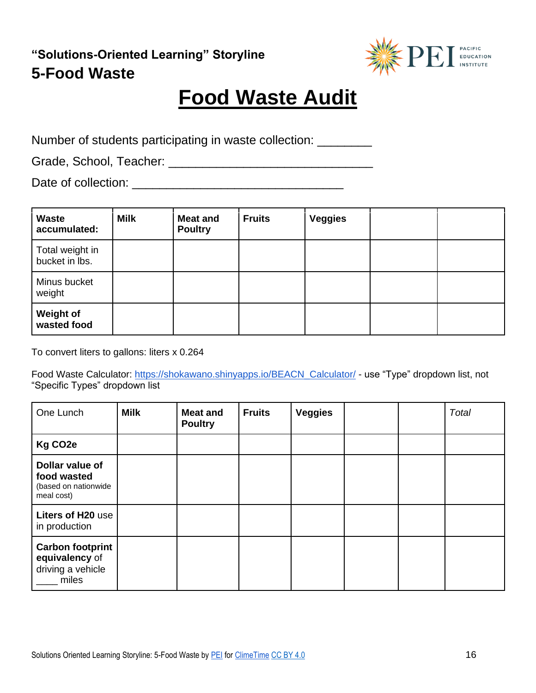

# **Food Waste Audit**

Number of students participating in waste collection: \_\_\_\_\_\_\_\_

Grade, School, Teacher: \_\_\_\_\_\_\_\_\_\_\_\_\_\_\_\_\_\_\_\_\_\_\_\_\_\_\_\_\_\_

Date of collection: \_\_\_\_\_\_\_\_\_\_\_\_\_\_\_\_\_\_\_\_\_\_\_\_\_\_\_\_\_\_\_

| <b>Waste</b><br>accumulated:      | <b>Milk</b> | <b>Meat and</b><br><b>Poultry</b> | <b>Fruits</b> | <b>Veggies</b> |  |
|-----------------------------------|-------------|-----------------------------------|---------------|----------------|--|
| Total weight in<br>bucket in lbs. |             |                                   |               |                |  |
| Minus bucket<br>weight            |             |                                   |               |                |  |
| <b>Weight of</b><br>wasted food   |             |                                   |               |                |  |

To convert liters to gallons: liters x 0.264

Food Waste Calculator: [https://shokawano.shinyapps.io/BEACN\\_Calculator/](https://shokawano.shinyapps.io/BEACN_Calculator/) - use "Type" dropdown list, not "Specific Types" dropdown list

| One Lunch                                                               | <b>Milk</b> | <b>Meat and</b><br><b>Poultry</b> | <b>Fruits</b> | <b>Veggies</b> |  | Total |
|-------------------------------------------------------------------------|-------------|-----------------------------------|---------------|----------------|--|-------|
| Kg CO <sub>2e</sub>                                                     |             |                                   |               |                |  |       |
| Dollar value of<br>food wasted<br>(based on nationwide<br>meal cost)    |             |                                   |               |                |  |       |
| Liters of H20 use<br>in production                                      |             |                                   |               |                |  |       |
| <b>Carbon footprint</b><br>equivalency of<br>driving a vehicle<br>miles |             |                                   |               |                |  |       |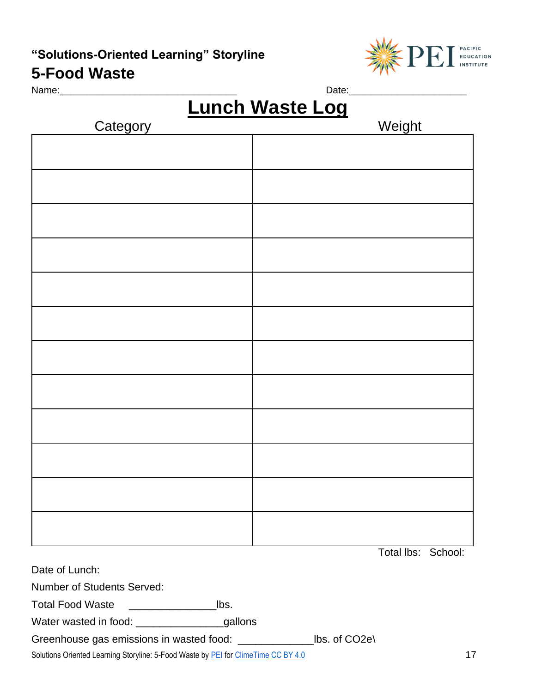#### **5-Food Waste**



Name:\_\_\_\_\_\_\_\_\_\_\_\_\_\_\_\_\_\_\_\_\_\_\_\_\_\_\_\_\_\_\_\_\_ Date:\_\_\_\_\_\_\_\_\_\_\_\_\_\_\_\_\_\_\_\_\_\_

# **Lunch Waste Log**

| Category | Weight |
|----------|--------|
|          |        |
|          |        |
|          |        |
|          |        |
|          |        |
|          |        |
|          |        |
|          |        |
|          |        |
|          |        |
|          |        |
|          |        |
|          |        |
|          |        |
|          |        |
|          |        |
|          |        |
|          |        |
|          |        |
|          |        |
|          |        |
|          |        |
|          |        |
|          |        |
|          |        |

Total lbs: School:

Date of Lunch:

Number of Students Served:

Total Food Waste \_\_\_\_\_\_\_\_\_\_\_\_\_\_\_lbs.

Water wasted in food: \_\_\_\_\_\_\_\_\_\_\_\_\_\_\_\_\_\_\_\_\_\_\_\_\_gallons

Greenhouse gas emissions in wasted food: \_\_\_\_\_\_\_\_\_\_\_\_\_lbs. of CO2e\

Solutions Oriented Learning Storyline: 5-Food Waste by **PEI** for [ClimeTime](https://www.climetime.org/) [CC BY 4.0](https://creativecommons.org/licenses/by/4.0/) 17